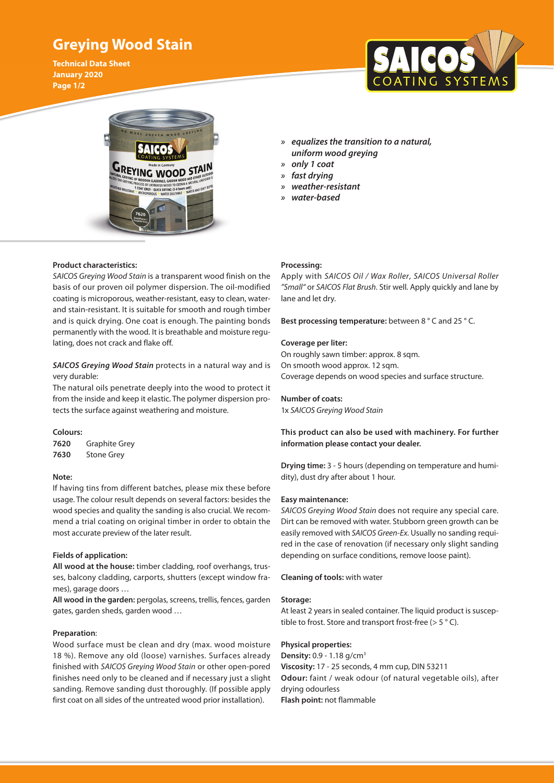# **Greying Wood Stain**

**Technical Data Sheet January 2020 Page 1/2**





- *» equalizes the transition to a natural, uniform wood greying*
- *» only 1 coat*
- *» fast drying*
- *» weather-resistant*
- *» water-based*

## **Product characteristics:**

*SAICOS Greying Wood Stain* is a transparent wood finish on the basis of our proven oil polymer dispersion. The oil-modified coating is microporous, weather-resistant, easy to clean, waterand stain-resistant. It is suitable for smooth and rough timber and is quick drying. One coat is enough. The painting bonds permanently with the wood. It is breathable and moisture regulating, does not crack and flake off.

# *SAICOS Greying Wood Stain* protects in a natural way and is very durable:

The natural oils penetrate deeply into the wood to protect it from the inside and keep it elastic. The polymer dispersion protects the surface against weathering and moisture.

## **Colours:**

**7620** Graphite Grey **7630** Stone Grey

## **Note:**

If having tins from different batches, please mix these before usage. The colour result depends on several factors: besides the wood species and quality the sanding is also crucial. We recommend a trial coating on original timber in order to obtain the most accurate preview of the later result.

#### **Fields of application:**

**All wood at the house:** timber cladding, roof overhangs, trusses, balcony cladding, carports, shutters (except window frames), garage doors …

**All wood in the garden:** pergolas, screens, trellis, fences, garden gates, garden sheds, garden wood …

#### **Preparation**:

Wood surface must be clean and dry (max. wood moisture 18 %). Remove any old (loose) varnishes. Surfaces already finished with *SAICOS Greying Wood Stain* or other open-pored finishes need only to be cleaned and if necessary just a slight sanding. Remove sanding dust thoroughly. (If possible apply first coat on all sides of the untreated wood prior installation).

#### **Processing:**

Apply with *SAICOS Oil / Wax Roller*, *SAICOS Universal Roller "Small"* or *SAICOS Flat Brush*. Stir well. Apply quickly and lane by lane and let dry.

**Best processing temperature:** between 8 ° C and 25 ° C.

### **Coverage per liter:**

On roughly sawn timber: approx. 8 sqm. On smooth wood approx. 12 sqm. Coverage depends on wood species and surface structure.

#### **Number of coats:**

1x *SAICOS Greying Wood Stain*

# **This product can also be used with machinery. For further information please contact your dealer.**

**Drying time:** 3 - 5 hours (depending on temperature and humidity), dust dry after about 1 hour.

#### **Easy maintenance:**

*SAICOS Greying Wood Stain* does not require any special care. Dirt can be removed with water. Stubborn green growth can be easily removed with *SAICOS Green-Ex.* Usually no sanding required in the case of renovation (if necessary only slight sanding depending on surface conditions, remove loose paint).

**Cleaning of tools:** with water

#### **Storage:**

At least 2 years in sealed container. The liquid product is susceptible to frost. Store and transport frost-free  $(> 5 °C)$ .

### **Physical properties:**

**Density:** 0.9 - 1.18 g/cm3 **Viscosity:** 17 - 25 seconds, 4 mm cup, DIN 53211 **Odour:** faint / weak odour (of natural vegetable oils), after drying odourless **Flash point:** not flammable